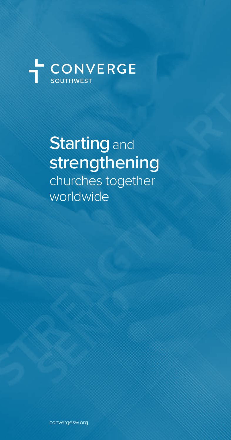

**Starting and** strengthening churches together worldwide

convergesw.org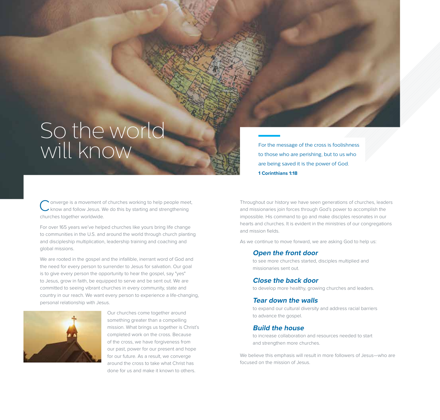# So the world For the message of the cross is foolishness<br>to those who are perishing, but to us who

to those who are perishing, but to us who are being saved it is the power of God. **1 Corinthians 1:18**

onverge is a movement of churches working to help people meet, know and follow Jesus. We do this by starting and strengthening churches together worldwide.

For over 165 years we've helped churches like yours bring life change to communities in the U.S. and around the world through church planting and discipleship multiplication, leadership training and coaching and global missions.

We are rooted in the gospel and the infallible, inerrant word of God and the need for every person to surrender to Jesus for salvation. Our goal is to give every person the opportunity to hear the gospel, say "yes" to Jesus, grow in faith, be equipped to serve and be sent out. We are committed to seeing vibrant churches in every community, state and country in our reach. We want every person to experience a life-changing, personal relationship with Jesus.



Our churches come together around something greater than a compelling mission. What brings us together is Christ's completed work on the cross. Because of the cross, we have forgiveness from our past, power for our present and hope for our future. As a result, we converge around the cross to take what Christ has done for us and make it known to others.

Throughout our history we have seen generations of churches, leaders and missionaries join forces through God's power to accomplish the impossible. His command to go and make disciples resonates in our hearts and churches. It is evident in the ministries of our congregations and mission fields.

As we continue to move forward, we are asking God to help us:

### **Open the front door**

to see more churches started, disciples multiplied and missionaries sent out.

### **Close the back door**

to develop more healthy, growing churches and leaders.

### **Tear down the walls**

to expand our cultural diversity and address racial barriers to advance the gospel.

### **Build the house**

to increase collaboration and resources needed to start and strengthen more churches.

We believe this emphasis will result in more followers of Jesus—who are focused on the mission of Jesus.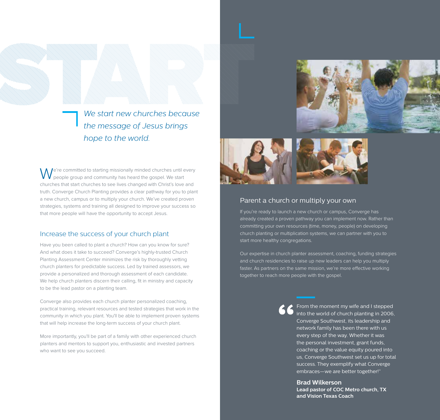

*We start new churches because the message of Jesus brings hope to the world.*

I e're committed to starting missionally minded churches until every people group and community has heard the gospel. We start churches that start churches to see lives changed with Christ's love and truth. Converge Church Planting provides a clear pathway for you to plant a new church, campus or to multiply your church. We've created proven strategies, systems and training all designed to improve your success so that more people will have the opportunity to accept Jesus.

### Increase the success of your church plant

Have you been called to plant a church? How can you know for sure? And what does it take to succeed? Converge's highly-trusted Church Planting Assessment Center minimizes the risk by thoroughly vetting church planters for predictable success. Led by trained assessors, we provide a personalized and thorough assessment of each candidate. We help church planters discern their calling, fit in ministry and capacity to be the lead pastor on a planting team.

Converge also provides each church planter personalized coaching, practical training, relevant resources and tested strategies that work in the community in which you plant. You'll be able to implement proven systems that will help increase the long-term success of your church plant.

More importantly, you'll be part of a family with other experienced church planters and mentors to support you, enthusiastic and invested partners who want to see you succeed.



### Parent a church or multiply your own

If you're ready to launch a new church or campus, Converge has already created a proven pathway you can implement now. Rather than committing your own resources (time, money, people) on developing church planting or multiplication systems, we can partner with you to start more healthy congregations.

Our expertise in church planter assessment, coaching, funding strategies and church residencies to raise up new leaders can help you multiply faster. As partners on the same mission, we're more effective working together to reach more people with the gospel.

> From the moment my wife and I stepped into the world of church planting in 2006, Converge Southwest, its leadership and network family has been there with us every step of the way. Whether it was the personal investment, grant funds, coaching or the value equity poured into us, Converge Southwest set us up for total success. They exemplify what Converge embraces—we are better together!"

**Brad Wilkerson Lead pastor of COC Metro church, TX and Vision Texas Coach**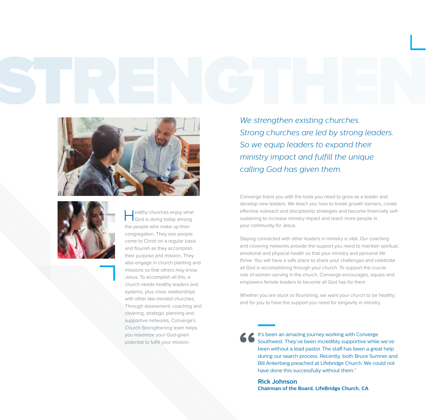



ealthy churches enjoy what<br>
God is doing today among the people who make up their congregation. They see people come to Christ on a regular basis and flourish as they accomplish their purpose and mission. They also engage in church planting and missions so that others may know Jesus. To accomplish all this, a church needs healthy leaders and systems, plus close relationships with other like-minded churches. Through assessment, coaching and covering, strategic planning and supportive networks, Converge's Church Strengthening team helps you maximize your God-given potential to fulfill your mission.

*We strengthen existing churches. Strong churches are led by strong leaders. So we equip leaders to expand their ministry impact and fulfill the unique calling God has given them.*

Converge trains you with the tools you need to grow as a leader and develop new leaders. We teach you how to break growth barriers, create effective outreach and discipleship strategies and become financially selfsustaining to increase ministry impact and reach more people in your community for Jesus.

Staying connected with other leaders in ministry is vital. Our coaching and covering networks provide the support you need to maintain spiritual, emotional and physical health so that your ministry and personal life thrive. You will have a safe place to share your challenges and celebrate all God is accomplishing through your church. To support the crucial role of women serving in the church, Converge encourages, equips and empowers female leaders to become all God has for them.

Whether you are stuck or flourishing, we want your church to be healthy, and for you to have the support you need for longevity in ministry.

It's been an amazing journey working with Converge Southwest. They've been incredibly supportive while we've been without a lead pastor. The staff has been a great help during our search process. Recently, both Bruce Sumner and Bill Ankerberg preached at Lifebridge Church. We could not have done this successfully without them."

**Rick Johnson Chairman of the Board, LifeBridge Church, CA**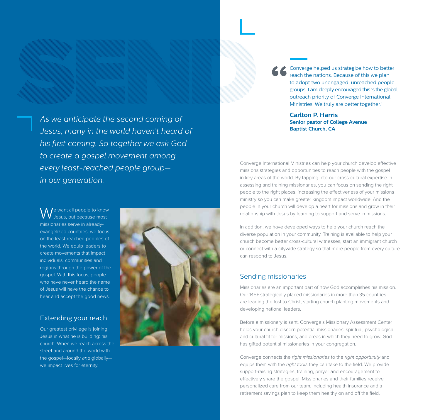*As we anticipate the second coming of Jesus, many in the world haven't heard of his first coming. So together we ask God to create a gospel movement among every least-reached people group in our generation.*

e want all people to know Jesus, but because most missionaries serve in alreadyevangelized countries, we focus on the least-reached peoples of the world. We equip leaders to create movements that impact individuals, communities and regions through the power of the gospel. With this focus, people who have never heard the name of Jesus will have the chance to hear and accept the good news.

### Extending your reach

Our greatest privilege is joining Jesus in what he is building: his church. When we reach across the street and around the world with the gospel—locally and globally we impact lives for eternity.



Converge helped us strategize how to better reach the nations. Because of this we plan to adopt two unengaged, unreached people groups. I am deeply encouraged this is the global outreach priority of Converge International Ministries. We truly are better together."

**Carlton P. Harris Senior pastor of College Avenue Baptist Church, CA**

Converge International Ministries can help your church develop effective missions strategies and opportunities to reach people with the gospel in key areas of the world. By tapping into our cross-cultural expertise in assessing and training missionaries, you can focus on sending the right people to the right places, increasing the effectiveness of your missions ministry so you can make greater kingdom impact worldwide. And the people in your church will develop a heart for missions and grow in their relationship with Jesus by learning to support and serve in missions.

In addition, we have developed ways to help your church reach the diverse population in your community. Training is available to help your church become better cross-cultural witnesses, start an immigrant church or connect with a citywide strategy so that more people from every culture can respond to Jesus.

### Sending missionaries

Missionaries are an important part of how God accomplishes his mission. Our 145+ strategically placed missionaries in more than 35 countries are leading the lost to Christ, starting church planting movements and developing national leaders.

Before a missionary is sent, Converge's Missionary Assessment Center helps your church discern potential missionaries' spiritual, psychological and cultural fit for missions, and areas in which they need to grow. God has gifted potential missionaries in your congregation.

Converge connects the *right missionaries* to the *right opportunity* and equips them with the *right tools* they can take to the field. We provide support-raising strategies, training, prayer and encouragement to effectively share the gospel. Missionaries and their families receive personalized care from our team, including health insurance and a retirement savings plan to keep them healthy on and off the field.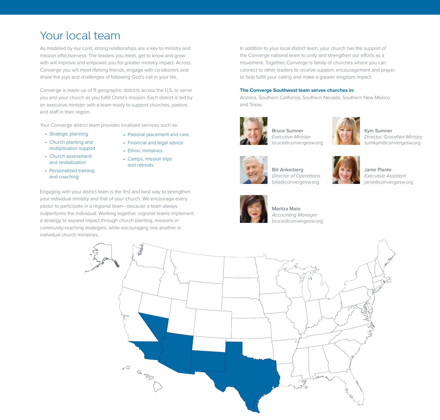### Your local team

As modeled by our Lord, strong relationships are a key to ministry and mission effectiveness. The leaders you meet, get to know and grow with will improve and empower you for greater ministry impact. Across Converge you will meet lifelong friends, engage with co-laborers and share the joys and challenges of following God's call in your life.

Converge is made up of 11 geographic districts across the U.S. to serve you and your church as you fulfill Christ's mission. Each district is led by an executive minister with a team ready to support churches, pastors and staff in their region.

Your Converge district team provides localized services such as:

- Strategic planning
- Pastoral placement and care
- Church planting and multiplication support
- Church assessment and revitalization
- Personalized training and coaching
- Financial and legal advice • Ethnic ministries
- Camps, mission trips and retreats

Engaging with your district team is the first and best way to strengthen your individual ministry and that of your church. We encourage every pastor to participate in a regional team—because a team always outperforms the individual. Working together, regional teams implement a strategy to expand impact through church planting, missions or community-reaching strategies, while encouraging one another in individual church ministries.

In addition to your local district team, your church has the support of the Converge national team to unify and strengthen our efforts as a movement. Together, Converge is family of churches where you can connect to other leaders to receive support, encouragement and prayer to help fulfill your calling and make a greater kingdom impact.

#### **The Converge Southwest team serves churches in:**

Arizona, Southern California, Southern Nevada, Southern New Mexico and Texas



Bruce Sumner *Executive Minister* bruce@convergesw.org



Kym Sumner *Director, GraceNet Ministry* sumkym@convergesw.org



Bill Ankerberg *Director of Operations* billa@convergesw.org



Janie Plante *Executive Assistant* janie@convergesw.org



Maritza Maio *Accounting Manager* bruce@convergesw.org

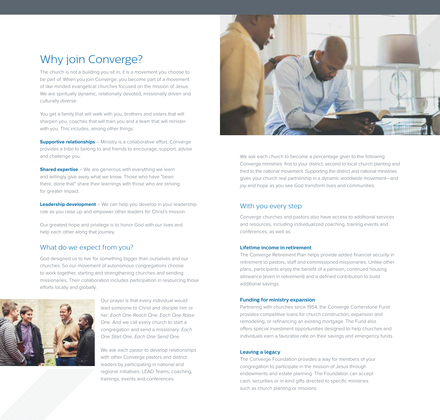## Why join Converge?

The church is not a building you sit in, it is a movement you choose to be part of. When you join Converge, you become part of a movement of like-minded evangelical churches focused on the mission of Jesus. We are spiritually dynamic, relationally devoted, missionally driven and culturally diverse.

You get a family that will walk with you, brothers and sisters that will sharpen you, coaches that will train you and a team that will minister with you. This includes, among other things:

**Supportive relationships** – Ministry is a collaborative effort. Converge provides a tribe to belong to and friends to encourage, support, advise and challenge you.

**Shared expertise** – We are generous with everything we learn and willingly give away what we know. Those who have "been there, done that" share their learnings with those who are striving for greater impact.

**Leadership development** – We can help you develop in your leadership role as you raise up and empower other leaders for Christ's mission.

Our greatest hope and privilege is to honor God with our lives and help each other along that journey.

### What do we expect from you?

God designed us to live for something bigger than ourselves and our churches. So our movement of autonomous congregations choose to work together, starting and strengthening churches and sending missionaries. Their collaboration includes participation in resourcing those efforts locally and globally.



Our prayer is that every individual would lead someone to Christ and disciple him or her: *Each One Reach One, Each One Raise One.* And we call every church to start a congregation and send a missionary: *Each One Start One, Each One Send One.*

We ask each pastor to develop relationships with other Converge pastors and district leaders by participating in national and regional initiatives: LEAD Teams, coaching, trainings, events and conferences.



We ask each church to become a percentage giver to the following Converge ministries: first to your district, second to local church planting and third to the national movement. Supporting the district and national ministries gives your church real partnership in a dynamic worldwide movement—and joy and hope as you see God transform lives and communities.

### With you every step

Converge churches and pastors also have access to additional services and resources, including individualized coaching, training events and conferences, as well as:

### **Lifetime income in retirement**

The Converge Retirement Plan helps provide added financial security in retirement to pastors, staff and commissioned missionaries. Unlike other plans, participants enjoy the benefit of a pension, continued housing allowance (even in retirement) and a defined contribution to build additional savings.

### **Funding for ministry expansion**

Partnering with churches since 1954, the Converge Cornerstone Fund provides competitive loans for church construction, expansion and remodeling, or refinancing an existing mortgage. The Fund also offers special investment opportunities designed to help churches and individuals earn a favorable rate on their savings and emergency funds.

### **Leaving a legacy**

The Converge Foundation provides a way for members of your congregation to participate in the mission of Jesus through endowments and estate planning. The Foundation can accept cash, securities or in-kind gifts directed to specific ministries such as church planting or missions.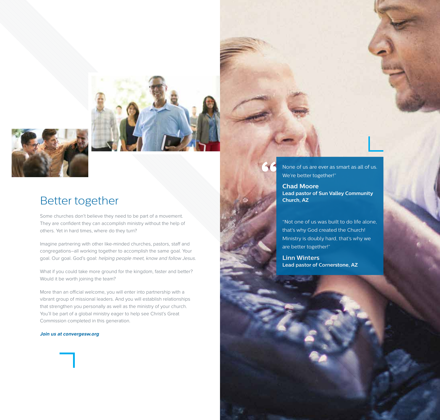

### Better together

Some churches don't believe they need to be part of a movement. They are confident they can accomplish ministry without the help of others. Yet in hard times, where do they turn?

Imagine partnering with other like-minded churches, pastors, staff and congregations–all working together to accomplish the same goal. Your goal. Our goal. God's goal: helping people meet, know and follow Jesus.

What if you could take more ground for the kingdom, faster and better? Would it be worth joining the team?

More than an official welcome, you will enter into partnership with a vibrant group of missional leaders. And you will establish relationships that strengthen you personally as well as the ministry of your church. You'll be part of a global ministry eager to help see Christ's Great Commission completed in this generation.

#### **Join us at convergesw.org**



None of us are ever as smart as all of us. We're better together!"

**Chad Moore Lead pastor of Sun Valley Community Church, AZ**

"Not one of us was built to do life alone, that's why God created the Church! Ministry is doubly hard, that's why we are better together!"

**Linn Winters Lead pastor of Cornerstone, AZ**